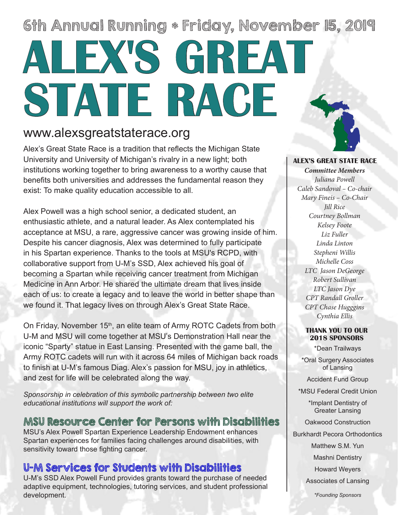# 6th Annual Running \* Friday, November 15, 2019 **ALEX'S GREAT STATE RACE**

## www.alexsgreatstaterace.org

Alex's Great State Race is a tradition that reflects the Michigan State University and University of Michigan's rivalry in a new light; both institutions working together to bring awareness to a worthy cause that benefits both universities and addresses the fundamental reason they exist: To make quality education accessible to all.

Alex Powell was a high school senior, a dedicated student, an enthusiastic athlete, and a natural leader. As Alex contemplated his acceptance at MSU, a rare, aggressive cancer was growing inside of him. Despite his cancer diagnosis, Alex was determined to fully participate in his Spartan experience. Thanks to the tools at MSU's RCPD, with collaborative support from U-M's SSD, Alex achieved his goal of becoming a Spartan while receiving cancer treatment from Michigan Medicine in Ann Arbor. He shared the ultimate dream that lives inside each of us: to create a legacy and to leave the world in better shape than we found it. That legacy lives on through Alex's Great State Race.

On Friday, November 15<sup>th</sup>, an elite team of Army ROTC Cadets from both U-M and MSU will come together at MSU's Demonstration Hall near the iconic "Sparty" statue in East Lansing. Presented with the game ball, the Army ROTC cadets will run with it across 64 miles of Michigan back roads to finish at U-M's famous Diag. Alex's passion for MSU, joy in athletics, and zest for life will be celebrated along the way.

*Sponsorship in celebration of this symbolic partnership between two elite educational institutions will support the work of:*

### MSU Resource Center for Persons with Disabilities

MSU's Alex Powell Spartan Experience Leadership Endowment enhances Spartan experiences for families facing challenges around disabilities, with sensitivity toward those fighting cancer.

### U-M Services for Students with Disabilities

U-M's SSD Alex Powell Fund provides grants toward the purchase of needed adaptive equipment, technologies, tutoring services, and student professional development.



### **ALEX'S GREAT STATE RACE**

*Committee Members Juliana Powell Caleb Sandoval – Co-chair Mary Fineis – Co-Chair Jill Rice Courtney Bollman Kelsey Foote Liz Fuller Linda Linton Stepheni Willis Michelle Coss LTC Jason DeGeorge Robert Sullivan LTC Jason Dye CPT Randall Groller CPT Chase Hugggins Cynthia Ellis*

#### **THANK YOU TO OUR 2018 SPONSORS**

\*Dean Trailways

\*Oral Surgery Associates of Lansing

Accident Fund Group

\*MSU Federal Credit Union

\*Implant Dentistry of Greater Lansing

Oakwood Construction

Burkhardt Pecora Orthodontics

Matthew S.M. Yun

Mashni Dentistry

Howard Weyers

Associates of Lansing

*\*Founding Sponsors*